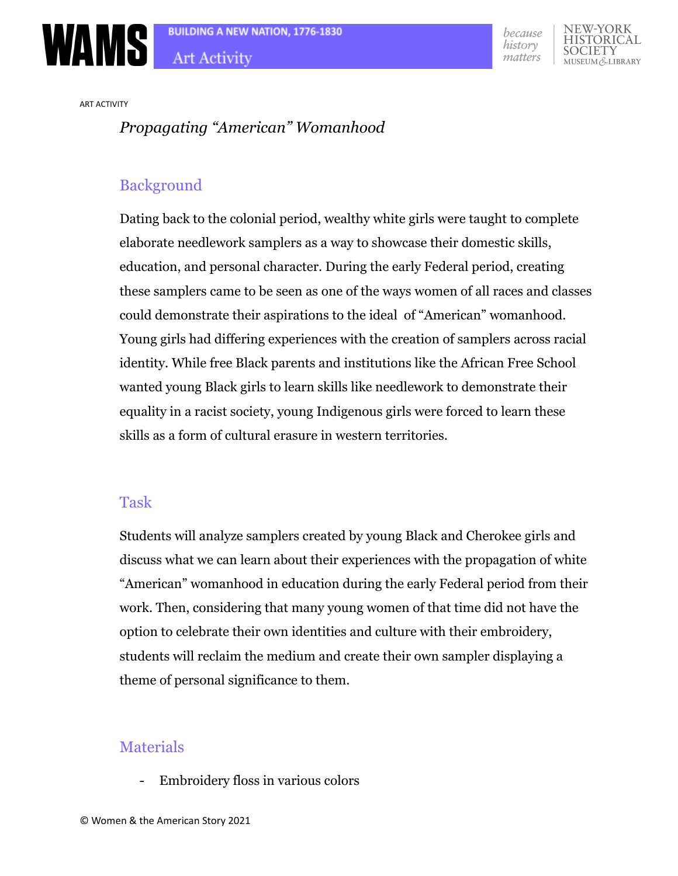



IEW-YORK HISTORICAL **CIETY** EUM & LIBRARY

ART ACTIVITY

# *Propagating "American" Womanhood*

# Background

Dating back to the colonial period, wealthy white girls were taught to complete elaborate needlework samplers as a way to showcase their domestic skills, education, and personal character. During the early Federal period, creating these samplers came to be seen as one of the ways women of all races and classes could demonstrate their aspirations to the ideal of "American" womanhood. Young girls had differing experiences with the creation of samplers across racial identity. While free Black parents and institutions like the African Free School wanted young Black girls to learn skills like needlework to demonstrate their equality in a racist society, young Indigenous girls were forced to learn these skills as a form of cultural erasure in western territories.

### Task

Students will analyze samplers created by young Black and Cherokee girls and discuss what we can learn about their experiences with the propagation of white "American" womanhood in education during the early Federal period from their work. Then, considering that many young women of that time did not have the option to celebrate their own identities and culture with their embroidery, students will reclaim the medium and create their own sampler displaying a theme of personal significance to them.

# **Materials**

- Embroidery floss in various colors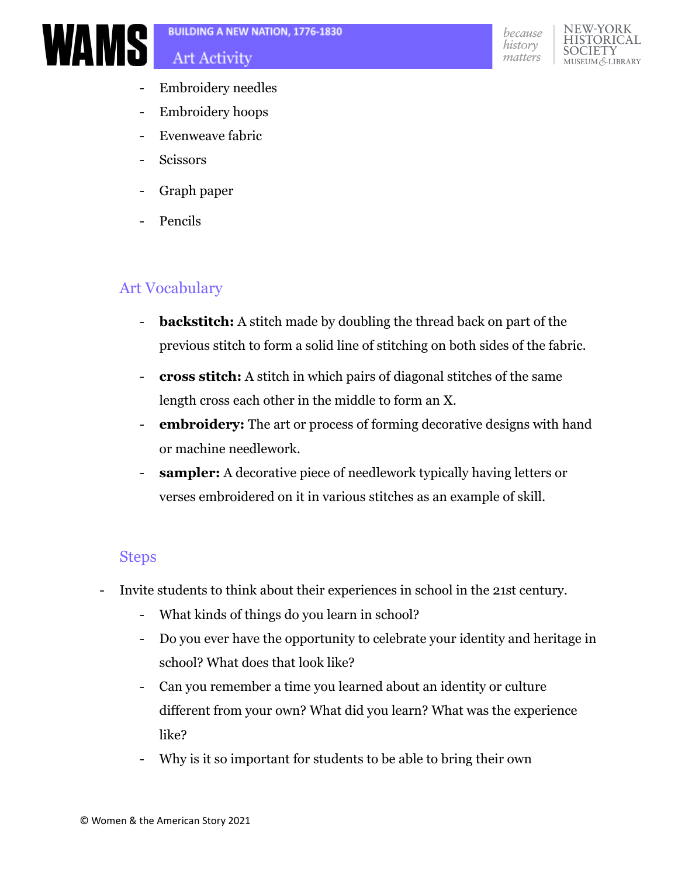

### **Art Activity**





- Embroidery needles
- Embroidery hoops
- Evenweave fabric
- **Scissors**
- Graph paper
- Pencils

# Art Vocabulary

- **backstitch:** A stitch made by doubling the thread back on part of the previous stitch to form a solid line of stitching on both sides of the fabric.
- **cross stitch:** A stitch in which pairs of diagonal stitches of the same length cross each other in the middle to form an X.
- **embroidery:** The art or process of forming decorative designs with hand or machine needlework.
- **sampler:** A decorative piece of needlework typically having letters or verses embroidered on it in various stitches as an example of skill.

### Steps

- Invite students to think about their experiences in school in the 21st century.
	- What kinds of things do you learn in school?
	- Do you ever have the opportunity to celebrate your identity and heritage in school? What does that look like?
	- Can you remember a time you learned about an identity or culture different from your own? What did you learn? What was the experience like?
	- Why is it so important for students to be able to bring their own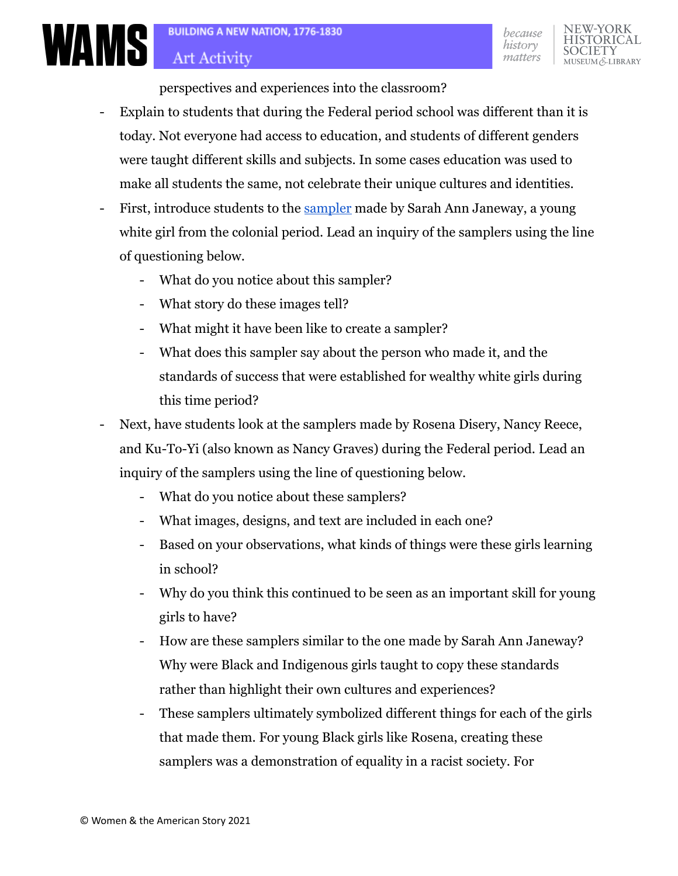IEW-YORK

**IIM & LIBRARY** 

HISTORIC

perspectives and experiences into the classroom?

- Explain to students that during the Federal period school was different than it is today. Not everyone had access to education, and students of different genders were taught different skills and subjects. In some cases education was used to make all students the same, not celebrate their unique cultures and identities.
- First, introduce students to the [sampler](https://wams.nyhistory.org/settler-colonialism-and-revolution/settler-colonialism/symbols-of-accomplishment/) made by Sarah Ann Janeway, a young white girl from the colonial period. Lead an inquiry of the samplers using the line of questioning below.
	- What do you notice about this sampler?
	- What story do these images tell?
	- What might it have been like to create a sampler?
	- What does this sampler say about the person who made it, and the standards of success that were established for wealthy white girls during this time period?
- Next, have students look at the samplers made by Rosena Disery, Nancy Reece, and Ku-To-Yi (also known as Nancy Graves) during the Federal period. Lead an inquiry of the samplers using the line of questioning below.
	- What do you notice about these samplers?
	- What images, designs, and text are included in each one?
	- Based on your observations, what kinds of things were these girls learning in school?
	- Why do you think this continued to be seen as an important skill for young girls to have?
	- How are these samplers similar to the one made by Sarah Ann Janeway? Why were Black and Indigenous girls taught to copy these standards rather than highlight their own cultures and experiences?
	- These samplers ultimately symbolized different things for each of the girls that made them. For young Black girls like Rosena, creating these samplers was a demonstration of equality in a racist society. For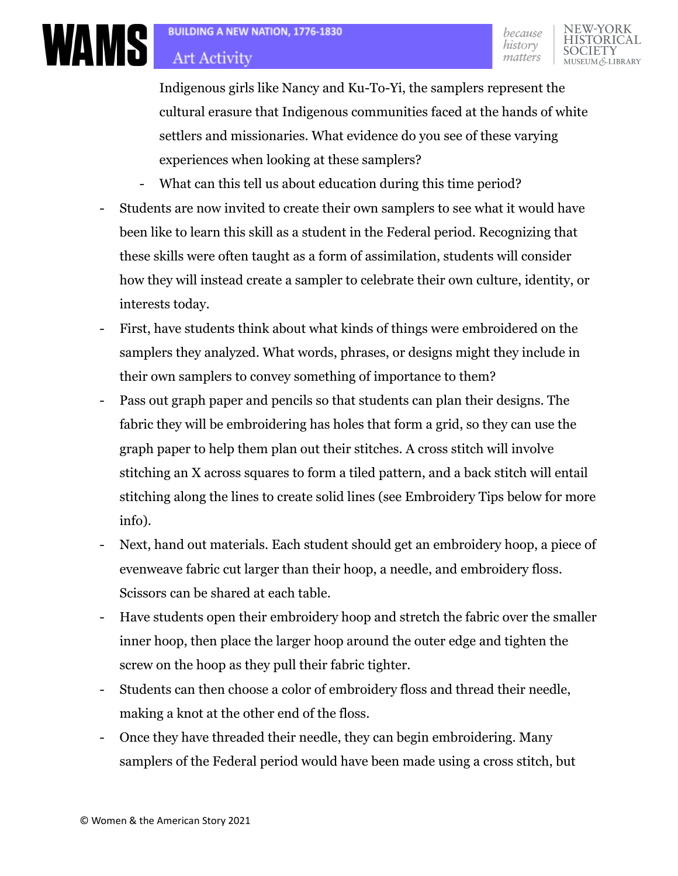**ELIBRARY** 

# **Art Activity**

**WAMS** 

Indigenous girls like Nancy and Ku-To-Yi, the samplers represent the cultural erasure that Indigenous communities faced at the hands of white settlers and missionaries. What evidence do you see of these varying experiences when looking at these samplers?

- What can this tell us about education during this time period?
- Students are now invited to create their own samplers to see what it would have been like to learn this skill as a student in the Federal period. Recognizing that these skills were often taught as a form of assimilation, students will consider how they will instead create a sampler to celebrate their own culture, identity, or interests today.
- First, have students think about what kinds of things were embroidered on the samplers they analyzed. What words, phrases, or designs might they include in their own samplers to convey something of importance to them?
- Pass out graph paper and pencils so that students can plan their designs. The fabric they will be embroidering has holes that form a grid, so they can use the graph paper to help them plan out their stitches. A cross stitch will involve stitching an X across squares to form a tiled pattern, and a back stitch will entail stitching along the lines to create solid lines (see Embroidery Tips below for more info).
- Next, hand out materials. Each student should get an embroidery hoop, a piece of evenweave fabric cut larger than their hoop, a needle, and embroidery floss. Scissors can be shared at each table.
- Have students open their embroidery hoop and stretch the fabric over the smaller inner hoop, then place the larger hoop around the outer edge and tighten the screw on the hoop as they pull their fabric tighter.
- Students can then choose a color of embroidery floss and thread their needle, making a knot at the other end of the floss.
- Once they have threaded their needle, they can begin embroidering. Many samplers of the Federal period would have been made using a cross stitch, but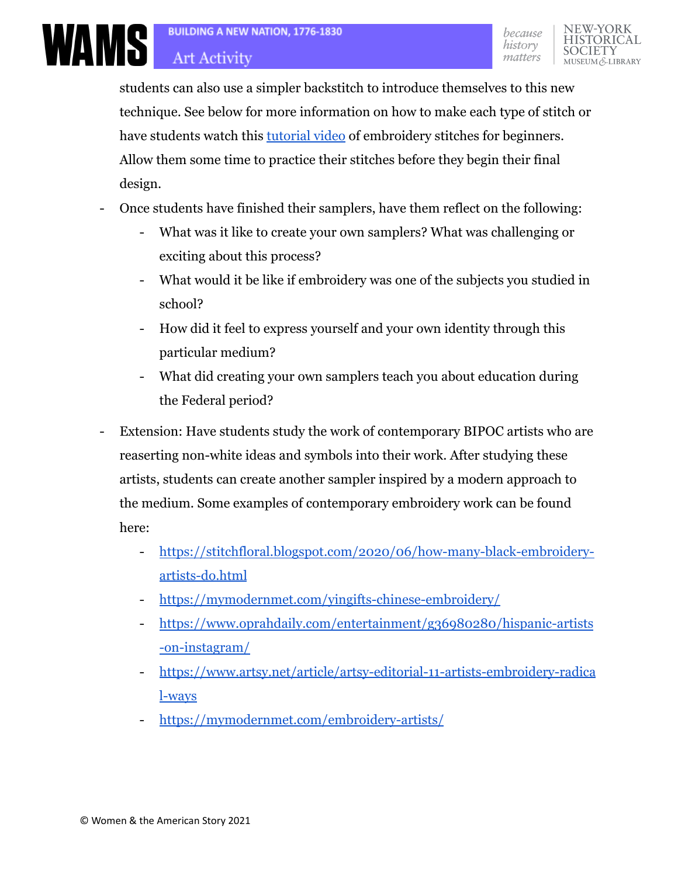students can also use a simpler backstitch to introduce themselves to this new technique. See below for more information on how to make each type of stitch or have students watch this [tutorial video](https://www.youtube.com/watch?v=go89e8xpVYs) of embroidery stitches for beginners. Allow them some time to practice their stitches before they begin their final design.

- Once students have finished their samplers, have them reflect on the following:
	- What was it like to create your own samplers? What was challenging or exciting about this process?
	- What would it be like if embroidery was one of the subjects you studied in school?
	- How did it feel to express yourself and your own identity through this particular medium?
	- What did creating your own samplers teach you about education during the Federal period?
- Extension: Have students study the work of contemporary BIPOC artists who are reaserting non-white ideas and symbols into their work. After studying these artists, students can create another sampler inspired by a modern approach to the medium. Some examples of contemporary embroidery work can be found here:
	- [https://stitchfloral.blogspot.com/2020/06/how-many-black-embroidery](https://stitchfloral.blogspot.com/2020/06/how-many-black-embroidery-artists-do.html)[artists-do.html](https://stitchfloral.blogspot.com/2020/06/how-many-black-embroidery-artists-do.html)
	- <https://mymodernmet.com/yingifts-chinese-embroidery/>
	- [https://www.oprahdaily.com/entertainment/g36980280/hispanic-artists](https://www.oprahdaily.com/entertainment/g36980280/hispanic-artists-on-instagram/) [-on-instagram/](https://www.oprahdaily.com/entertainment/g36980280/hispanic-artists-on-instagram/)
	- [https://www.artsy.net/article/artsy-editorial-11-artists-embroidery-radica](https://www.artsy.net/article/artsy-editorial-11-artists-embroidery-radical-ways) [l-ways](https://www.artsy.net/article/artsy-editorial-11-artists-embroidery-radical-ways)
	- <https://mymodernmet.com/embroidery-artists/>